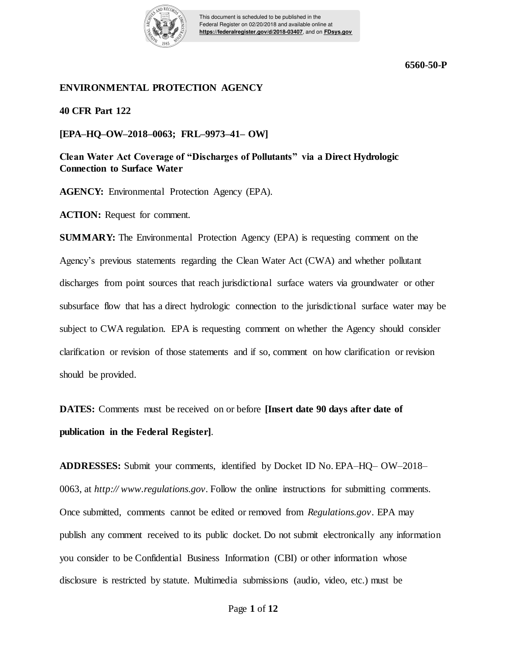

This document is scheduled to be published in the Federal Register on 02/20/2018 and available online at **https://federalregister.gov/d/2018-03407**, and on **FDsys.gov**

### **ENVIRONMENTAL PROTECTION AGENCY**

**40 CFR Part 122**

**[EPA–HQ–OW–2018–0063; FRL–9973–41– OW]** 

**Clean Water Act Coverage of "Discharges of Pollutants" via a Direct Hydrologic Connection to Surface Water** 

**AGENCY:** Environmental Protection Agency (EPA).

**ACTION:** Request for comment.

**SUMMARY:** The Environmental Protection Agency (EPA) is requesting comment on the Agency's previous statements regarding the Clean Water Act (CWA) and whether pollutant discharges from point sources that reach jurisdictional surface waters via groundwater or other subsurface flow that has a direct hydrologic connection to the jurisdictional surface water may be subject to CWA regulation. EPA is requesting comment on whether the Agency should consider clarification or revision of those statements and if so, comment on how clarification or revision should be provided.

**DATES:** Comments must be received on or before **[Insert date 90 days after date of publication in the Federal Register]**.

**ADDRESSES:** Submit your comments, identified by Docket ID No. EPA–HQ– OW–2018– 0063, at *http:// www.regulations.gov.* Follow the online instructions for submitting comments. Once submitted, comments cannot be edited or removed from *Regulations.gov*. EPA may publish any comment received to its public docket. Do not submit electronically any information you consider to be Confidential Business Information (CBI) or other information whose disclosure is restricted by statute. Multimedia submissions (audio, video, etc.) must be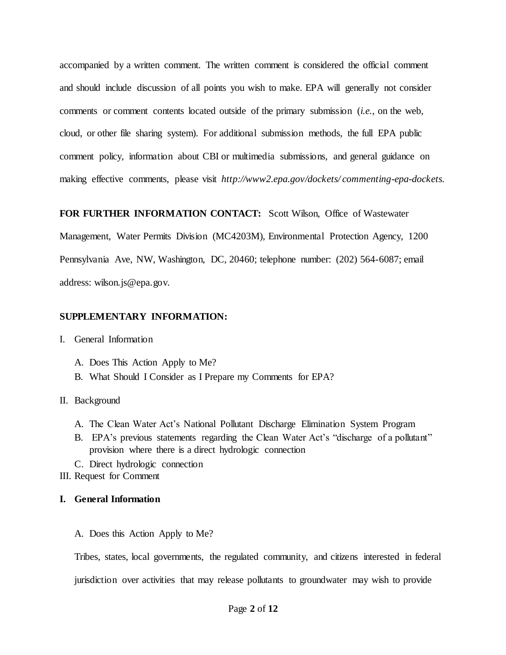accompanied by a written comment. The written comment is considered the official comment and should include discussion of all points you wish to make. EPA will generally not consider comments or comment contents located outside of the primary submission (*i.e.*, on the web, cloud, or other file sharing system). For additional submission methods, the full EPA public comment policy, information about CBI or multimedia submissions, and general guidance on making effective comments, please visit *http://www2.epa.gov/dockets/ commenting-epa-dockets.* 

### **FOR FURTHER INFORMATION CONTACT:** Scott Wilson, Office of Wastewater

Management, Water Permits Division (MC4203M), Environmental Protection Agency, 1200 Pennsylvania Ave, NW, Washington, DC, 20460; telephone number: (202) 564-6087; email address: wilson.js@epa.gov.

## **SUPPLEMENTARY INFORMATION:**

### I. General Information

- A. Does This Action Apply to Me?
- B. What Should I Consider as I Prepare my Comments for EPA?

### II. Background

- A. The Clean Water Act's National Pollutant Discharge Elimination System Program
- B. EPA's previous statements regarding the Clean Water Act's "discharge of a pollutant" provision where there is a direct hydrologic connection
- C. Direct hydrologic connection
- III. Request for Comment

### **I. General Information**

A. Does this Action Apply to Me?

Tribes, states, local governments, the regulated community, and citizens interested in federal jurisdiction over activities that may release pollutants to groundwater may wish to provide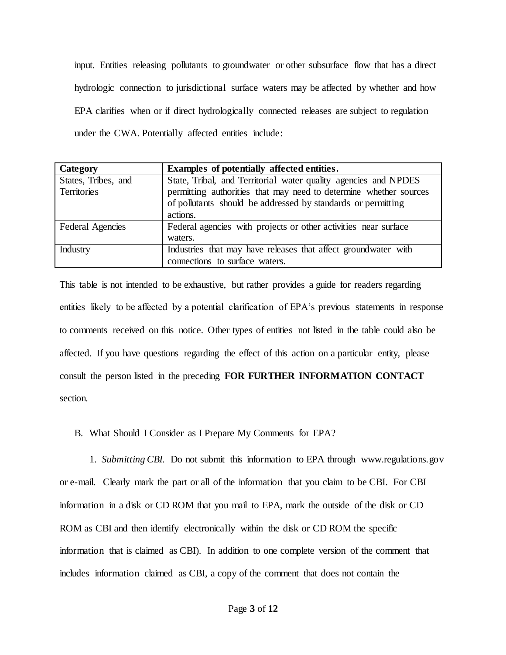input. Entities releasing pollutants to groundwater or other subsurface flow that has a direct hydrologic connection to jurisdictional surface waters may be affected by whether and how EPA clarifies when or if direct hydrologically connected releases are subject to regulation under the CWA. Potentially affected entities include:

| Category                | Examples of potentially affected entities.                        |
|-------------------------|-------------------------------------------------------------------|
| States, Tribes, and     | State, Tribal, and Territorial water quality agencies and NPDES   |
| <b>Territories</b>      | permitting authorities that may need to determine whether sources |
|                         | of pollutants should be addressed by standards or permitting      |
|                         | actions.                                                          |
| <b>Federal Agencies</b> | Federal agencies with projects or other activities near surface   |
|                         | waters.                                                           |
| Industry                | Industries that may have releases that affect groundwater with    |
|                         | connections to surface waters.                                    |

This table is not intended to be exhaustive, but rather provides a guide for readers regarding entities likely to be affected by a potential clarification of EPA's previous statements in response to comments received on this notice. Other types of entities not listed in the table could also be affected. If you have questions regarding the effect of this action on a particular entity, please consult the person listed in the preceding **FOR FURTHER INFORMATION CONTACT**  section.

B. What Should I Consider as I Prepare My Comments for EPA?

 1. *Submitting CBI.* Do not submit this information to EPA through www.regulations.gov or e-mail. Clearly mark the part or all of the information that you claim to be CBI. For CBI information in a disk or CD ROM that you mail to EPA, mark the outside of the disk or CD ROM as CBI and then identify electronically within the disk or CD ROM the specific information that is claimed as CBI). In addition to one complete version of the comment that includes information claimed as CBI, a copy of the comment that does not contain the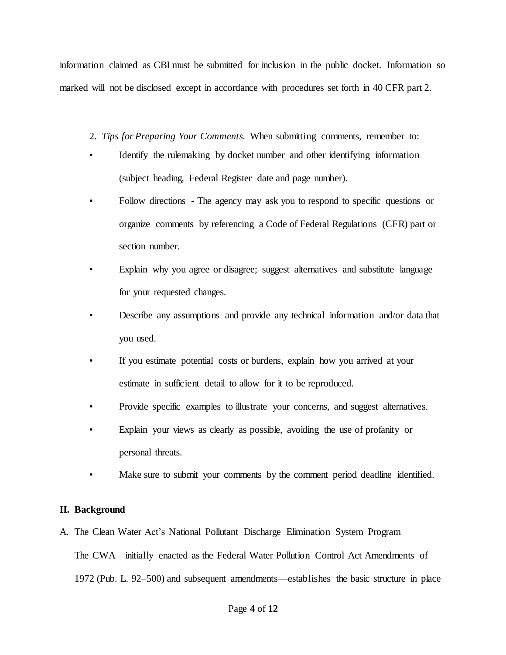information claimed as CBI must be submitted for inclusion in the public docket. Information so marked will not be disclosed except in accordance with procedures set forth in 40 CFR part 2.

- 2. *Tips for Preparing Your Comments.* When submitting comments, remember to:
- Identify the rulemaking by docket number and other identifying information (subject heading, Federal Register date and page number).
- Follow directions The agency may ask you to respond to specific questions or organize comments by referencing a Code of Federal Regulations (CFR) part or section number.
- Explain why you agree or disagree; suggest alternatives and substitute language for your requested changes.
- Describe any assumptions and provide any technical information and/or data that you used.
- If you estimate potential costs or burdens, explain how you arrived at your estimate in sufficient detail to allow for it to be reproduced.
- Provide specific examples to illustrate your concerns, and suggest alternatives.
- Explain your views as clearly as possible, avoiding the use of profanity or personal threats.
- Make sure to submit your comments by the comment period deadline identified.

# **II. Background**

A. The Clean Water Act's National Pollutant Discharge Elimination System Program The CWA—initially enacted as the Federal Water Pollution Control Act Amendments of 1972 (Pub. L. 92–500) and subsequent amendments—establishes the basic structure in place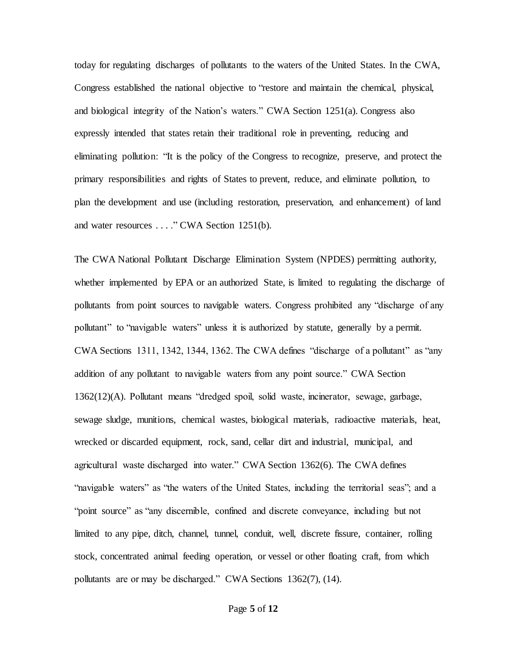today for regulating discharges of pollutants to the waters of the United States. In the CWA, Congress established the national objective to "restore and maintain the chemical, physical, and biological integrity of the Nation's waters." CWA Section 1251(a). Congress also expressly intended that states retain their traditional role in preventing, reducing and eliminating pollution: "It is the policy of the Congress to recognize, preserve, and protect the primary responsibilities and rights of States to prevent, reduce, and eliminate pollution, to plan the development and use (including restoration, preservation, and enhancement) of land and water resources . . . ." CWA Section 1251(b).

The CWA National Pollutant Discharge Elimination System (NPDES) permitting authority, whether implemented by EPA or an authorized State, is limited to regulating the discharge of pollutants from point sources to navigable waters. Congress prohibited any "discharge of any pollutant" to "navigable waters" unless it is authorized by statute, generally by a permit. CWA Sections 1311, 1342, 1344, 1362. The CWA defines "discharge of a pollutant" as "any addition of any pollutant to navigable waters from any point source." CWA Section 1362(12)(A). Pollutant means "dredged spoil, solid waste, incinerator, sewage, garbage, sewage sludge, munitions, chemical wastes, biological materials, radioactive materials, heat, wrecked or discarded equipment, rock, sand, cellar dirt and industrial, municipal, and agricultural waste discharged into water." CWA Section 1362(6). The CWA defines "navigable waters" as "the waters of the United States, including the territorial seas"; and a "point source" as "any discernible, confined and discrete conveyance, including but not limited to any pipe, ditch, channel, tunnel, conduit, well, discrete fissure, container, rolling stock, concentrated animal feeding operation, or vessel or other floating craft, from which pollutants are or may be discharged." CWA Sections 1362(7), (14).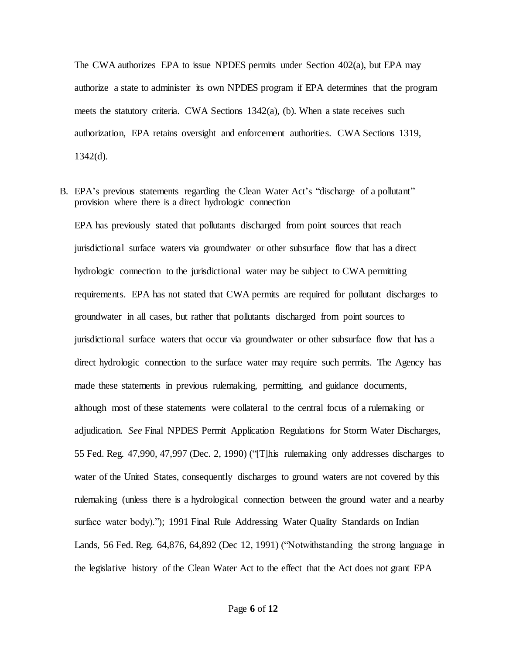The CWA authorizes EPA to issue NPDES permits under Section 402(a), but EPA may authorize a state to administer its own NPDES program if EPA determines that the program meets the statutory criteria. CWA Sections 1342(a), (b). When a state receives such authorization, EPA retains oversight and enforcement authorities. CWA Sections 1319,  $1342(d)$ .

B. EPA's previous statements regarding the Clean Water Act's "discharge of a pollutant" provision where there is a direct hydrologic connection

EPA has previously stated that pollutants discharged from point sources that reach jurisdictional surface waters via groundwater or other subsurface flow that has a direct hydrologic connection to the jurisdictional water may be subject to CWA permitting requirements. EPA has not stated that CWA permits are required for pollutant discharges to groundwater in all cases, but rather that pollutants discharged from point sources to jurisdictional surface waters that occur via groundwater or other subsurface flow that has a direct hydrologic connection to the surface water may require such permits. The Agency has made these statements in previous rulemaking, permitting, and guidance documents, although most of these statements were collateral to the central focus of a rulemaking or adjudication. *See* Final NPDES Permit Application Regulations for Storm Water Discharges, 55 Fed. Reg. 47,990, 47,997 (Dec. 2, 1990) ("[T]his rulemaking only addresses discharges to water of the United States, consequently discharges to ground waters are not covered by this rulemaking (unless there is a hydrological connection between the ground water and a nearby surface water body)."); 1991 Final Rule Addressing Water Quality Standards on Indian Lands, 56 Fed. Reg. 64,876, 64,892 (Dec 12, 1991) ("Notwithstanding the strong language in the legislative history of the Clean Water Act to the effect that the Act does not grant EPA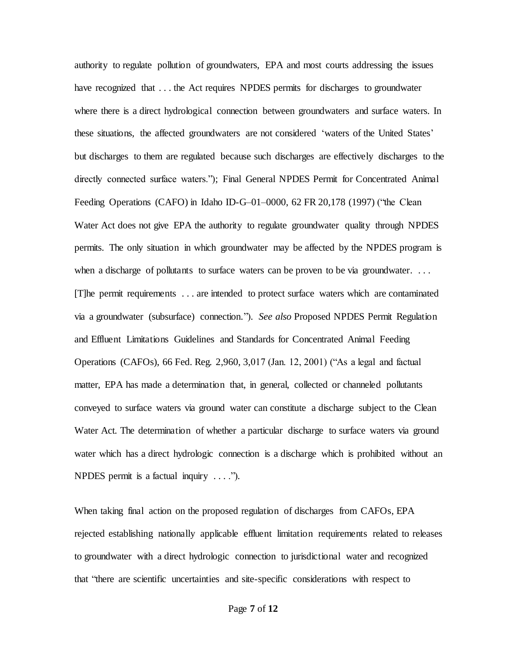authority to regulate pollution of groundwaters, EPA and most courts addressing the issues have recognized that . . . the Act requires NPDES permits for discharges to groundwater where there is a direct hydrological connection between groundwaters and surface waters. In these situations, the affected groundwaters are not considered 'waters of the United States' but discharges to them are regulated because such discharges are effectively discharges to the directly connected surface waters."); Final General NPDES Permit for Concentrated Animal Feeding Operations (CAFO) in Idaho ID-G–01–0000, 62 FR 20,178 (1997) ("the Clean Water Act does not give EPA the authority to regulate groundwater quality through NPDES permits. The only situation in which groundwater may be affected by the NPDES program is when a discharge of pollutants to surface waters can be proven to be via groundwater. ... [T]he permit requirements . . . are intended to protect surface waters which are contaminated via a groundwater (subsurface) connection."). *See also* Proposed NPDES Permit Regulation and Effluent Limitations Guidelines and Standards for Concentrated Animal Feeding Operations (CAFOs), 66 Fed. Reg. 2,960, 3,017 (Jan. 12, 2001) ("As a legal and factual matter, EPA has made a determination that, in general, collected or channeled pollutants conveyed to surface waters via ground water can constitute a discharge subject to the Clean Water Act. The determination of whether a particular discharge to surface waters via ground water which has a direct hydrologic connection is a discharge which is prohibited without an NPDES permit is a factual inquiry . . . .").

When taking final action on the proposed regulation of discharges from CAFOs, EPA rejected establishing nationally applicable effluent limitation requirements related to releases to groundwater with a direct hydrologic connection to jurisdictional water and recognized that "there are scientific uncertainties and site-specific considerations with respect to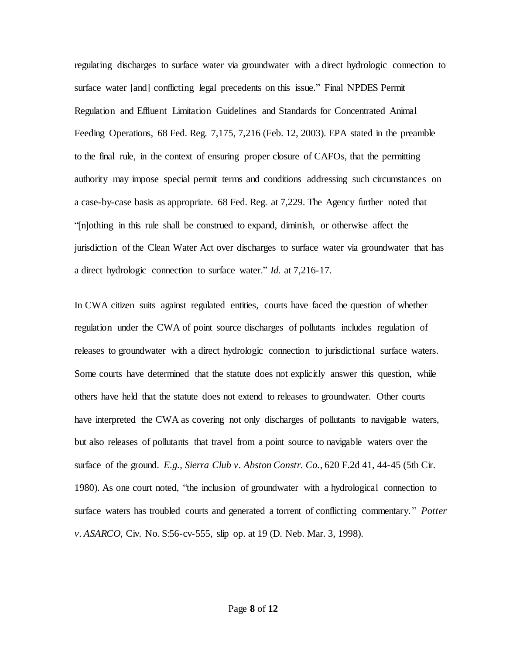regulating discharges to surface water via groundwater with a direct hydrologic connection to surface water [and] conflicting legal precedents on this issue." Final NPDES Permit Regulation and Effluent Limitation Guidelines and Standards for Concentrated Animal Feeding Operations, 68 Fed. Reg. 7,175, 7,216 (Feb. 12, 2003). EPA stated in the preamble to the final rule, in the context of ensuring proper closure of CAFOs, that the permitting authority may impose special permit terms and conditions addressing such circumstances on a case-by-case basis as appropriate. 68 Fed. Reg. at 7,229. The Agency further noted that "[n]othing in this rule shall be construed to expand, diminish, or otherwise affect the jurisdiction of the Clean Water Act over discharges to surface water via groundwater that has a direct hydrologic connection to surface water." *Id.* at 7,216-17.

In CWA citizen suits against regulated entities, courts have faced the question of whether regulation under the CWA of point source discharges of pollutants includes regulation of releases to groundwater with a direct hydrologic connection to jurisdictional surface waters. Some courts have determined that the statute does not explicitly answer this question, while others have held that the statute does not extend to releases to groundwater. Other courts have interpreted the CWA as covering not only discharges of pollutants to navigable waters, but also releases of pollutants that travel from a point source to navigable waters over the surface of the ground. *E.g.*, *Sierra Club v. Abston Constr. Co.*, 620 F.2d 41, 44-45 (5th Cir. 1980). As one court noted, "the inclusion of groundwater with a hydrological connection to surface waters has troubled courts and generated a torrent of conflicting commentary. " *Potter v. ASARCO*, Civ. No. S:56-cv-555, slip op. at 19 (D. Neb. Mar. 3, 1998).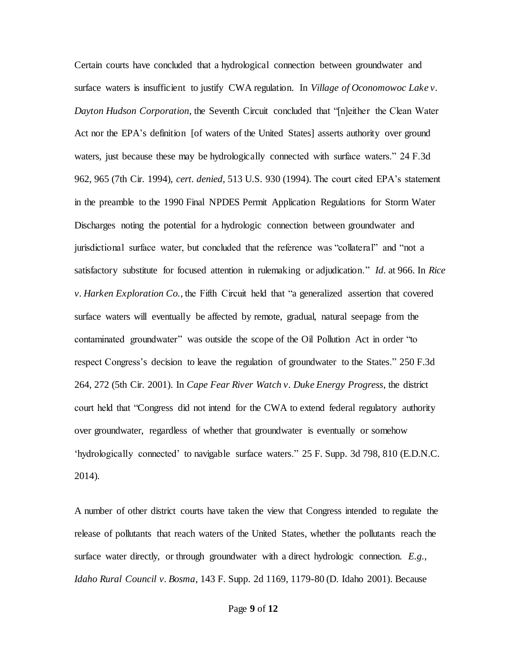Certain courts have concluded that a hydrological connection between groundwater and surface waters is insufficient to justify CWA regulation. In *Village of Oconomowoc Lake v. Dayton Hudson Corporation*, the Seventh Circuit concluded that "[n]either the Clean Water Act nor the EPA's definition [of waters of the United States] asserts authority over ground waters, just because these may be hydrologically connected with surface waters." 24 F.3d 962, 965 (7th Cir. 1994), *cert. denied*, 513 U.S. 930 (1994). The court cited EPA's statement in the preamble to the 1990 Final NPDES Permit Application Regulations for Storm Water Discharges noting the potential for a hydrologic connection between groundwater and jurisdictional surface water, but concluded that the reference was "collateral" and "not a satisfactory substitute for focused attention in rulemaking or adjudication." *Id*. at 966. In *Rice v. Harken Exploration Co.*, the Fifth Circuit held that "a generalized assertion that covered surface waters will eventually be affected by remote, gradual, natural seepage from the contaminated groundwater" was outside the scope of the Oil Pollution Act in order "to respect Congress's decision to leave the regulation of groundwater to the States." 250 F.3d 264, 272 (5th Cir. 2001). In *Cape Fear River Watch v. Duke Energy Progress*, the district court held that "Congress did not intend for the CWA to extend federal regulatory authority over groundwater, regardless of whether that groundwater is eventually or somehow 'hydrologically connected' to navigable surface waters." 25 F. Supp. 3d 798, 810 (E.D.N.C. 2014).

A number of other district courts have taken the view that Congress intended to regulate the release of pollutants that reach waters of the United States, whether the pollutants reach the surface water directly, or through groundwater with a direct hydrologic connection. *E.g.*, *Idaho Rural Council v. Bosma*, 143 F. Supp. 2d 1169, 1179-80 (D. Idaho 2001). Because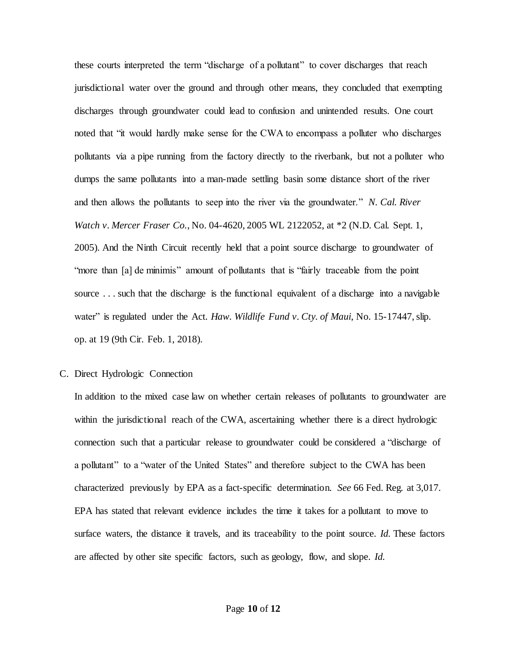these courts interpreted the term "discharge of a pollutant" to cover discharges that reach jurisdictional water over the ground and through other means, they concluded that exempting discharges through groundwater could lead to confusion and unintended results. One court noted that "it would hardly make sense for the CWA to encompass a polluter who discharges pollutants via a pipe running from the factory directly to the riverbank, but not a polluter who dumps the same pollutants into a man-made settling basin some distance short of the river and then allows the pollutants to seep into the river via the groundwater." *N. Cal. River Watch v. Mercer Fraser Co.*, No. 04-4620, 2005 WL 2122052, at \*2 (N.D. Cal. Sept. 1, 2005). And the Ninth Circuit recently held that a point source discharge to groundwater of "more than [a] de minimis" amount of pollutants that is "fairly traceable from the point source ... such that the discharge is the functional equivalent of a discharge into a navigable water" is regulated under the Act. *Haw. Wildlife Fund v. Cty. of Maui*, No. 15-17447, slip. op. at 19 (9th Cir. Feb. 1, 2018).

#### C. Direct Hydrologic Connection

In addition to the mixed case law on whether certain releases of pollutants to groundwater are within the jurisdictional reach of the CWA, ascertaining whether there is a direct hydrologic connection such that a particular release to groundwater could be considered a "discharge of a pollutant" to a "water of the United States" and therefore subject to the CWA has been characterized previously by EPA as a fact-specific determination. *See* 66 Fed. Reg. at 3,017. EPA has stated that relevant evidence includes the time it takes for a pollutant to move to surface waters, the distance it travels, and its traceability to the point source. *Id.* These factors are affected by other site specific factors, such as geology, flow, and slope. *Id.*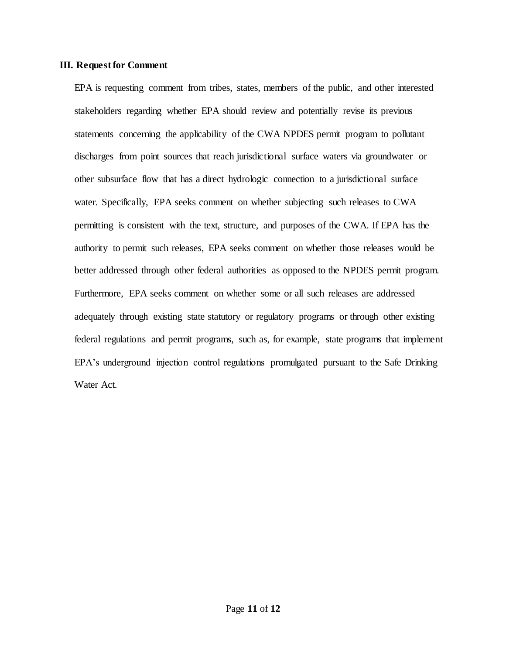#### **III. Request for Comment**

EPA is requesting comment from tribes, states, members of the public, and other interested stakeholders regarding whether EPA should review and potentially revise its previous statements concerning the applicability of the CWA NPDES permit program to pollutant discharges from point sources that reach jurisdictional surface waters via groundwater or other subsurface flow that has a direct hydrologic connection to a jurisdictional surface water. Specifically, EPA seeks comment on whether subjecting such releases to CWA permitting is consistent with the text, structure, and purposes of the CWA. If EPA has the authority to permit such releases, EPA seeks comment on whether those releases would be better addressed through other federal authorities as opposed to the NPDES permit program. Furthermore, EPA seeks comment on whether some or all such releases are addressed adequately through existing state statutory or regulatory programs or through other existing federal regulations and permit programs, such as, for example, state programs that implement EPA's underground injection control regulations promulgated pursuant to the Safe Drinking Water Act.